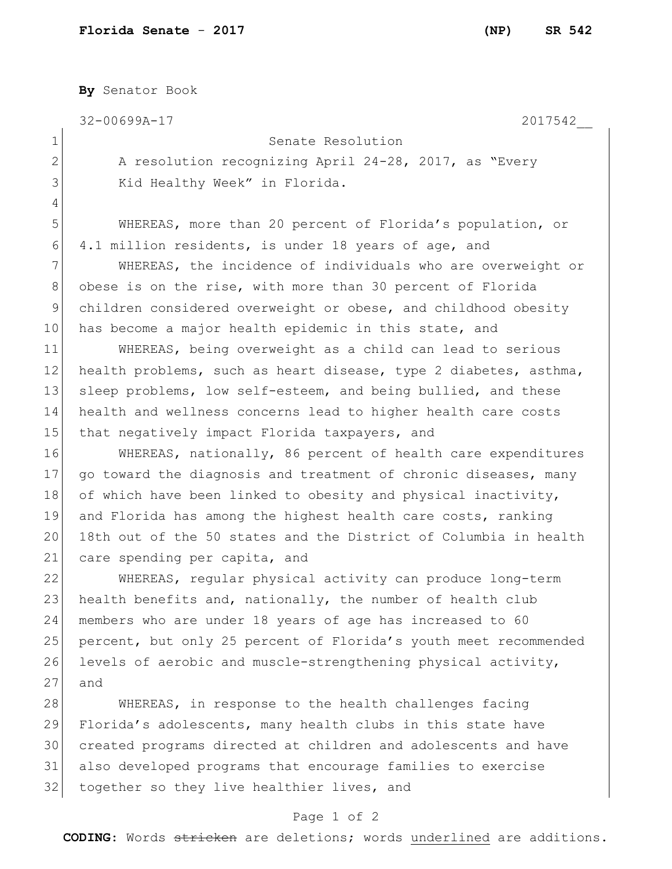**By** Senator Book

32-00699A-17 2017542\_\_

4

## 1 Senate Resolution

2 A resolution recognizing April 24-28, 2017, as "Every 3 Kid Healthy Week" in Florida.

5 WHEREAS, more than 20 percent of Florida's population, or 6 4.1 million residents, is under 18 years of age, and

7 WHEREAS, the incidence of individuals who are overweight or 8 obese is on the rise, with more than 30 percent of Florida 9 children considered overweight or obese, and childhood obesity 10 has become a major health epidemic in this state, and

11 WHEREAS, being overweight as a child can lead to serious 12 health problems, such as heart disease, type 2 diabetes, asthma, 13 sleep problems, low self-esteem, and being bullied, and these 14 health and wellness concerns lead to higher health care costs 15 that negatively impact Florida taxpayers, and

16 WHEREAS, nationally, 86 percent of health care expenditures 17 go toward the diagnosis and treatment of chronic diseases, many 18 of which have been linked to obesity and physical inactivity, 19 and Florida has among the highest health care costs, ranking 20 18th out of the 50 states and the District of Columbia in health 21 care spending per capita, and

 WHEREAS, regular physical activity can produce long-term 23 health benefits and, nationally, the number of health club members who are under 18 years of age has increased to 60 percent, but only 25 percent of Florida's youth meet recommended levels of aerobic and muscle-strengthening physical activity, 27 and

28 WHEREAS, in response to the health challenges facing 29 Florida's adolescents, many health clubs in this state have 30 created programs directed at children and adolescents and have 31 also developed programs that encourage families to exercise 32 together so they live healthier lives, and

## Page 1 of 2

**CODING**: Words stricken are deletions; words underlined are additions.